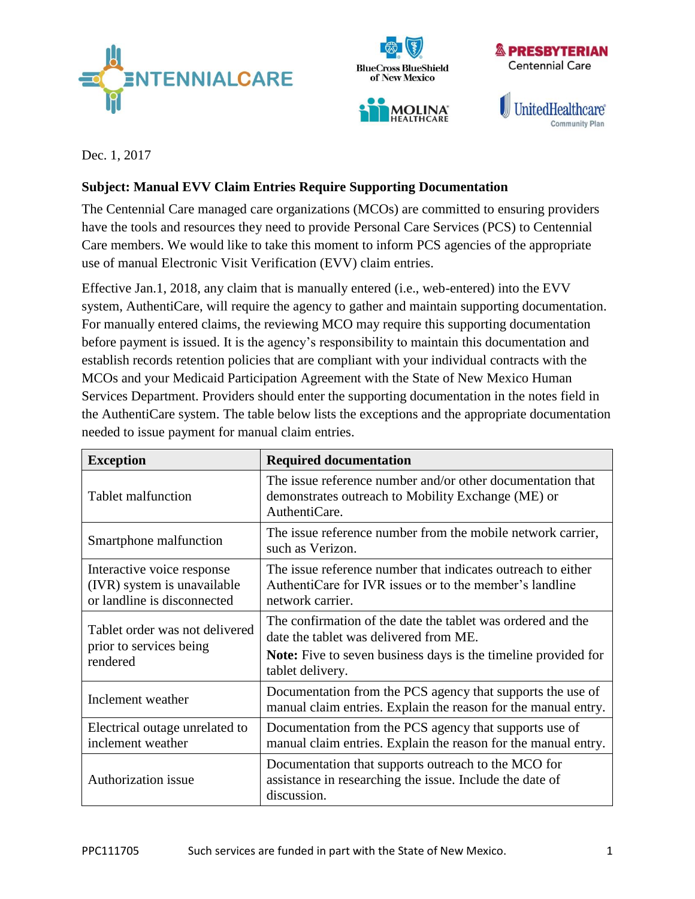





Dec. 1, 2017

## **Subject: Manual EVV Claim Entries Require Supporting Documentation**

The Centennial Care managed care organizations (MCOs) are committed to ensuring providers have the tools and resources they need to provide Personal Care Services (PCS) to Centennial Care members. We would like to take this moment to inform PCS agencies of the appropriate use of manual Electronic Visit Verification (EVV) claim entries.

Effective Jan.1, 2018, any claim that is manually entered (i.e., web-entered) into the EVV system, AuthentiCare, will require the agency to gather and maintain supporting documentation. For manually entered claims, the reviewing MCO may require this supporting documentation before payment is issued. It is the agency's responsibility to maintain this documentation and establish records retention policies that are compliant with your individual contracts with the MCOs and your Medicaid Participation Agreement with the State of New Mexico Human Services Department. Providers should enter the supporting documentation in the notes field in the AuthentiCare system. The table below lists the exceptions and the appropriate documentation needed to issue payment for manual claim entries.

| <b>Exception</b>                                                                         | <b>Required documentation</b>                                                                                                                                                               |
|------------------------------------------------------------------------------------------|---------------------------------------------------------------------------------------------------------------------------------------------------------------------------------------------|
| Tablet malfunction                                                                       | The issue reference number and/or other documentation that<br>demonstrates outreach to Mobility Exchange (ME) or<br>AuthentiCare.                                                           |
| Smartphone malfunction                                                                   | The issue reference number from the mobile network carrier,<br>such as Verizon.                                                                                                             |
| Interactive voice response<br>(IVR) system is unavailable<br>or landline is disconnected | The issue reference number that indicates outreach to either<br>AuthentiCare for IVR issues or to the member's landline<br>network carrier.                                                 |
| Tablet order was not delivered<br>prior to services being<br>rendered                    | The confirmation of the date the tablet was ordered and the<br>date the tablet was delivered from ME.<br>Note: Five to seven business days is the timeline provided for<br>tablet delivery. |
| Inclement weather                                                                        | Documentation from the PCS agency that supports the use of<br>manual claim entries. Explain the reason for the manual entry.                                                                |
| Electrical outage unrelated to<br>inclement weather                                      | Documentation from the PCS agency that supports use of<br>manual claim entries. Explain the reason for the manual entry.                                                                    |
| Authorization issue                                                                      | Documentation that supports outreach to the MCO for<br>assistance in researching the issue. Include the date of<br>discussion.                                                              |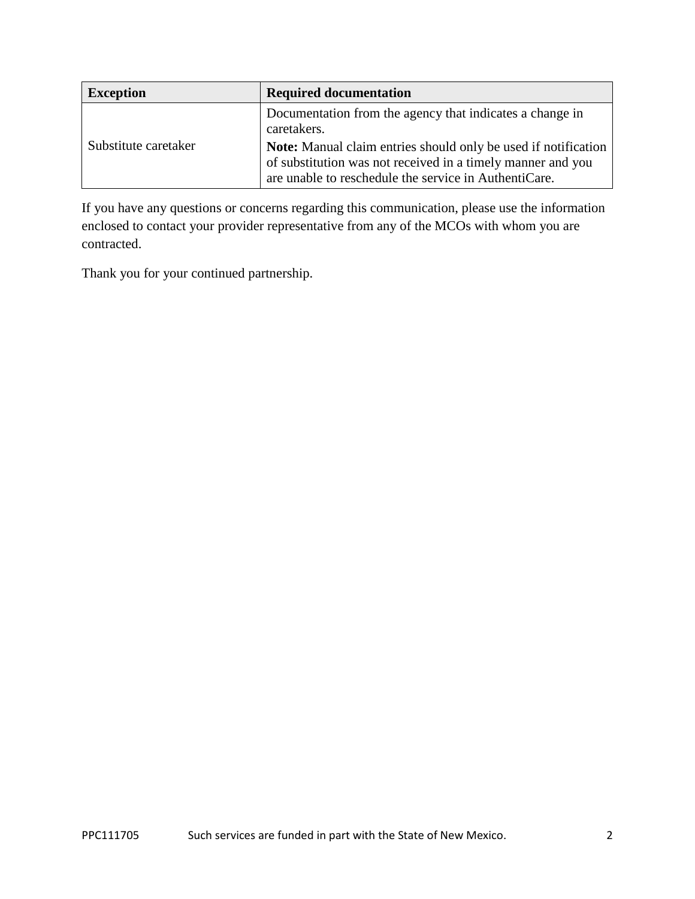| <b>Exception</b>     | <b>Required documentation</b>                                                                                                                                                          |
|----------------------|----------------------------------------------------------------------------------------------------------------------------------------------------------------------------------------|
| Substitute caretaker | Documentation from the agency that indicates a change in<br>caretakers.                                                                                                                |
|                      | Note: Manual claim entries should only be used if notification<br>of substitution was not received in a timely manner and you<br>are unable to reschedule the service in AuthentiCare. |

If you have any questions or concerns regarding this communication, please use the information enclosed to contact your provider representative from any of the MCOs with whom you are contracted.

Thank you for your continued partnership.